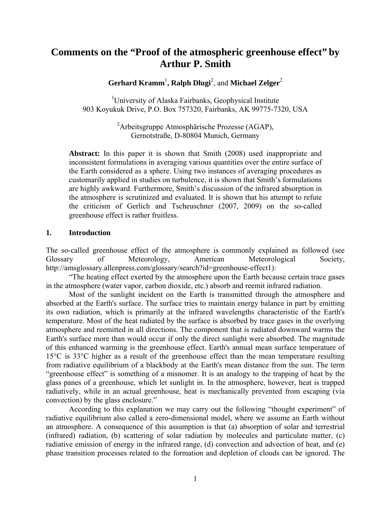# **Comments on the "Proof of the atmospheric greenhouse effect" by Arthur P. Smith**

Gerhard Kramm<sup>1</sup>, Ralph Dlugi<sup>2</sup>, and Michael Zelger<sup>2</sup>

<sup>1</sup>University of Alaska Fairbanks, Geophysical Institute 903 Koyukuk Drive, P.O. Box 757320, Fairbanks, AK 99775-7320, USA

> <sup>2</sup> Arbeitsgruppe Atmosphärische Prozesse (AGAP), Gernotstraße, D-80804 Munich, Germany

**Abstract:** In this paper it is shown that Smith (2008) used inappropriate and inconsistent formulations in averaging various quantities over the entire surface of the Earth considered as a sphere. Using two instances of averaging procedures as customarily applied in studies on turbulence, it is shown that Smith's formulations are highly awkward. Furthermore, Smith's discussion of the infrared absorption in the atmosphere is scrutinized and evaluated. It is shown that his attempt to refute the criticism of Gerlich and Tscheuschner (2007, 2009) on the so-called greenhouse effect is rather fruitless.

## **1. Introduction**

The so-called greenhouse effect of the atmosphere is commonly explained as followed (see Glossary of Meteorology, American Meteorological Society, http://amsglossary.allenpress.com/glossary/search?id=greenhouse-effect1):

"The heating effect exerted by the atmosphere upon the Earth because certain trace gases in the atmosphere (water vapor, carbon dioxide, etc.) absorb and reemit infrared radiation.

Most of the sunlight incident on the Earth is transmitted through the atmosphere and absorbed at the Earth's surface. The surface tries to maintain energy balance in part by emitting its own radiation, which is primarily at the infrared wavelengths characteristic of the Earth's temperature. Most of the heat radiated by the surface is absorbed by trace gases in the overlying atmosphere and reemitted in all directions. The component that is radiated downward warms the Earth's surface more than would occur if only the direct sunlight were absorbed. The magnitude of this enhanced warming is the greenhouse effect. Earth's annual mean surface temperature of 15°C is 33°C higher as a result of the greenhouse effect than the mean temperature resulting from radiative equilibrium of a blackbody at the Earth's mean distance from the sun. The term "greenhouse effect" is something of a misnomer. It is an analogy to the trapping of heat by the glass panes of a greenhouse, which let sunlight in. In the atmosphere, however, heat is trapped radiatively, while in an actual greenhouse, heat is mechanically prevented from escaping (via convection) by the glass enclosure."

According to this explanation we may carry out the following "thought experiment" of radiative equilibrium also called a zero-dimensional model, where we assume an Earth without an atmosphere. A consequence of this assumption is that (a) absorption of solar and terrestrial (infrared) radiation, (b) scattering of solar radiation by molecules and particulate matter, (c) radiative emission of energy in the infrared range, (d) convection and advection of heat, and (e) phase transition processes related to the formation and depletion of clouds can be ignored. The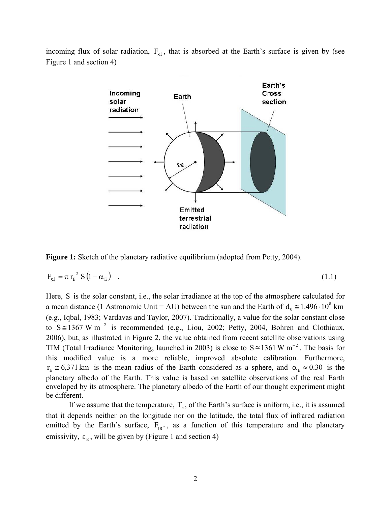incoming flux of solar radiation,  $F_{s\downarrow}$ , that is absorbed at the Earth's surface is given by (see Figure 1 and section 4)



**Figure 1:** Sketch of the planetary radiative equilibrium (adopted from Petty, 2004).

$$
F_{s\downarrow} = \pi r_E^2 S (1 - \alpha_E) \quad . \tag{1.1}
$$

Here, S is the solar constant, i.e., the solar irradiance at the top of the atmosphere calculated for a mean distance (1 Astronomic Unit = AU) between the sun and the Earth of  $d_0 \approx 1.496 \cdot 10^8$  km (e.g., Iqbal, 1983; Vardavas and Taylor, 2007). Traditionally, a value for the solar constant close to  $S \cong 1367$  W m<sup>-2</sup> is recommended (e.g., Liou, 2002; Petty, 2004, Bohren and Clothiaux, 2006), but, as illustrated in Figure 2, the value obtained from recent satellite observations using TIM (Total Irradiance Monitoring; launched in 2003) is close to  $S \approx 1361 \,\mathrm{W/m}^{-2}$ . The basis for this modified value is a more reliable, improved absolute calibration. Furthermore,  $r_E \approx 6.371 \text{ km}$  is the mean radius of the Earth considered as a sphere, and  $\alpha_E \approx 0.30$  is the planetary albedo of the Earth. This value is based on satellite observations of the real Earth enveloped by its atmosphere. The planetary albedo of the Earth of our thought experiment might be different.

If we assume that the temperature,  $T_e$ , of the Earth's surface is uniform, i.e., it is assumed that it depends neither on the longitude nor on the latitude, the total flux of infrared radiation emitted by the Earth's surface,  $F_{IR\uparrow}$ , as a function of this temperature and the planetary emissivity,  $\varepsilon_{\rm E}$ , will be given by (Figure 1 and section 4)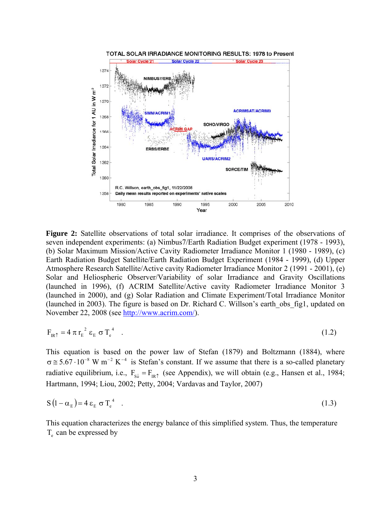

**Figure 2:** Satellite observations of total solar irradiance. It comprises of the observations of seven independent experiments: (a) Nimbus7/Earth Radiation Budget experiment (1978 - 1993), (b) Solar Maximum Mission/Active Cavity Radiometer Irradiance Monitor 1 (1980 - 1989), (c) Earth Radiation Budget Satellite/Earth Radiation Budget Experiment (1984 - 1999), (d) Upper Atmosphere Research Satellite/Active cavity Radiometer Irradiance Monitor 2 (1991 - 2001), (e) Solar and Heliospheric Observer/Variability of solar Irradiance and Gravity Oscillations (launched in 1996), (f) ACRIM Satellite/Active cavity Radiometer Irradiance Monitor 3 (launched in 2000), and (g) Solar Radiation and Climate Experiment/Total Irradiance Monitor (launched in 2003). The figure is based on Dr. Richard C. Willson's earth\_obs\_fig1, updated on November 22, 2008 (see http://www.acrim.com/).

$$
F_{IR\uparrow} = 4 \pi r_E^2 \varepsilon_E \sigma T_e^4 \quad . \tag{1.2}
$$

This equation is based on the power law of Stefan (1879) and Boltzmann (1884), where  $\sigma \approx 5.67 \cdot 10^{-8}$  W m<sup>-2</sup> K<sup>-4</sup> is Stefan's constant. If we assume that there is a so-called planetary radiative equilibrium, i.e.,  $F_{s\downarrow} = F_{IR\uparrow}$  (see Appendix), we will obtain (e.g., Hansen et al., 1984; Hartmann, 1994; Liou, 2002; Petty, 2004; Vardavas and Taylor, 2007)

$$
S(1 - \alpha_E) = 4 \varepsilon_E \sigma T_e^4 \quad . \tag{1.3}
$$

This equation characterizes the energy balance of this simplified system. Thus, the temperature  $T<sub>e</sub>$  can be expressed by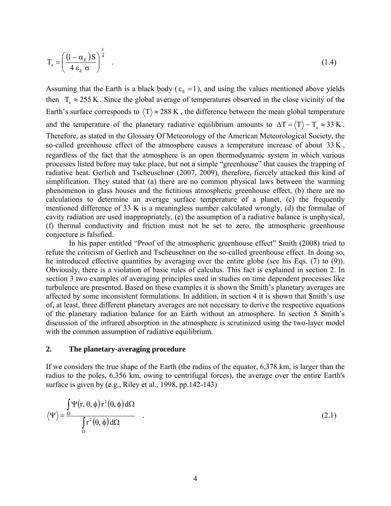$$
T_e = \left(\frac{\left(1 - \alpha_E\right)S}{4\epsilon_E \sigma}\right)^{\frac{1}{4}}\tag{1.4}
$$

Assuming that the Earth is a black body ( $\varepsilon_E = 1$ ), and using the values mentioned above yields then  $T_e \approx 255 \text{ K}$ . Since the global average of temperatures observed in the close vicinity of the Earth's surface corresponds to  $\langle T \rangle \approx 288 \text{ K}$ , the difference between the mean global temperature and the temperature of the planetary radiative equilibrium amounts to  $\Delta T = \langle T \rangle - T_e \approx 33 \text{ K}$ . Therefore, as stated in the Glossary Of Meteorology of the American Meteorological Society, the so-called greenhouse effect of the atmosphere causes a temperature increase of about  $33 K$ , regardless of the fact that the atmosphere is an open thermodynamic system in which various processes listed before may take place, but not a simple "greenhouse" that causes the trapping of radiative heat. Gerlich and Tscheuschner (2007, 2009), therefore, fiercely attacked this kind of simplification. They stated that (a) there are no common physical laws between the warming phenomenon in glass houses and the fictitious atmospheric greenhouse effect, (b) there are no calculations to determine an average surface temperature of a planet, (c) the frequently mentioned difference of 33 K is a meaningless number calculated wrongly, (d) the formulae of cavity radiation are used inappropriately, (e) the assumption of a radiative balance is unphysical, (f) thermal conductivity and friction must not be set to zero, the atmospheric greenhouse conjecture is falsified.

In his paper entitled "Proof of the atmospheric greenhouse effect" Smith (2008) tried to refute the criticism of Gerlich and Tscheuschner on the so-called greenhouse effect. In doing so, he introduced effective quantities by averaging over the entire globe (see his Eqs. (7) to (9)). Obviously, there is a violation of basic rules of calculus. This fact is explained in section 2. In section 3 two examples of averaging principles used in studies on time dependent processes like turbulence are presented. Based on these examples it is shown the Smith's planetary averages are affected by some inconsistent formulations. In addition, in section 4 it is shown that Smith's use of, at least, three different planetary averages are not necessary to derive the respective equations of the planetary radiation balance for an Earth without an atmosphere. In section 5 Smith's discussion of the infrared absorption in the atmosphere is scrutinized using the two-layer model with the common assumption of radiative equilibrium.

### **2. The planetary-averaging procedure**

If we considers the true shape of the Earth (the radius of the equator, 6,378 km, is larger than the radius to the poles, 6,356 km, owing to centrifugal forces), the average over the entire Earth's surface is given by (e.g., Riley et al., 1998, pp.142-143)

$$
\langle \Psi \rangle = \frac{\int_{\Omega} \Psi(r, \theta, \phi) r^2(\theta, \phi) d\Omega}{\int_{\Omega} r^2(\theta, \phi) d\Omega} \quad .
$$
 (2.1)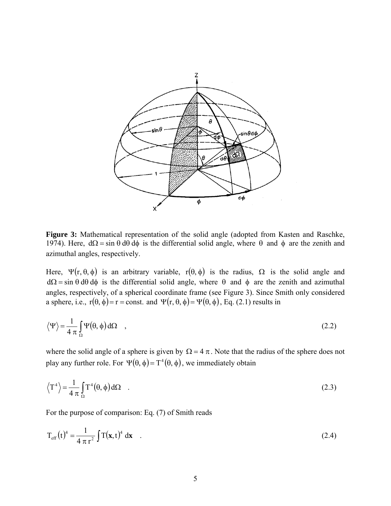

Figure 3: Mathematical representation of the solid angle (adopted from Kasten and Raschke, 1974). Here,  $d\Omega = \sin \theta d\theta d\phi$  is the differential solid angle, where θ and φ are the zenith and azimuthal angles, respectively.

Here,  $\Psi$ (r, θ, φ) is an arbitrary variable, r(θ, φ) is the radius,  $\Omega$  is the solid angle and  $d\Omega = \sin \theta d\theta d\phi$  is the differential solid angle, where  $\theta$  and  $\phi$  are the zenith and azimuthal angles, respectively, of a spherical coordinate frame (see Figure 3). Since Smith only considered a sphere, i.e.,  $r(\theta, \phi) = r = \text{const.}$  and  $\Psi(r, \theta, \phi) = \Psi(\theta, \phi)$ , Eq. (2.1) results in

$$
\langle \Psi \rangle = \frac{1}{4 \pi} \int_{\Omega} \Psi(\theta, \phi) d\Omega \quad , \tag{2.2}
$$

where the solid angle of a sphere is given by  $\Omega = 4 \pi$ . Note that the radius of the sphere does not play any further role. For  $\Psi(\theta, \phi) = T^4(\theta, \phi)$ , we immediately obtain

$$
\left\langle T^4 \right\rangle = \frac{1}{4 \pi} \int_{\Omega} T^4(\theta, \phi) d\Omega \quad . \tag{2.3}
$$

For the purpose of comparison: Eq. (7) of Smith reads

$$
T_{\rm eff}(t)^4 = \frac{1}{4 \pi r^2} \int T(\mathbf{x}, t)^4 d\mathbf{x} \quad . \tag{2.4}
$$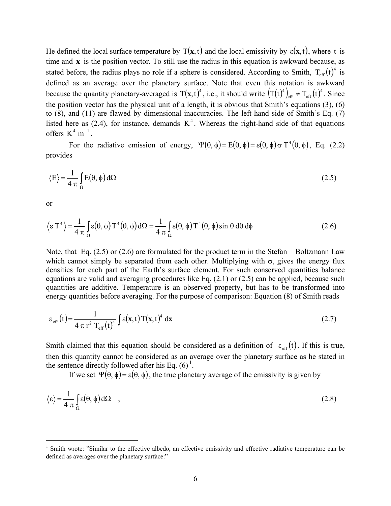He defined the local surface temperature by  $T(x, t)$  and the local emissivity by  $\varepsilon(x, t)$ , where t is time and **x** is the position vector. To still use the radius in this equation is awkward because, as stated before, the radius plays no role if a sphere is considered. According to Smith,  $T_{\text{eff}}(t)^4$  is defined as an average over the planetary surface. Note that even this notation is awkward because the quantity planetary-averaged is  $T(x,t)^4$ , i.e., it should write  $(T(t)^4)_{eff} \neq T_{eff}(t)^4$ . Since the position vector has the physical unit of a length, it is obvious that Smith's equations (3), (6) to (8), and (11) are flawed by dimensional inaccuracies. The left-hand side of Smith's Eq. (7) listed here as  $(2.4)$ , for instance, demands  $K<sup>4</sup>$ . Whereas the right-hand side of that equations offers  $K^4$  m<sup>-1</sup>

For the radiative emission of energy,  $\Psi(\theta, \phi) = E(\theta, \phi) = \varepsilon(\theta, \phi) \sigma T^4(\theta, \phi)$ , Eq. (2.2) provides

$$
\langle E \rangle = \frac{1}{4 \pi} \int_{\Omega} E(\theta, \phi) d\Omega
$$
 (2.5)

or

 $\overline{a}$ 

$$
\langle \varepsilon T^4 \rangle = \frac{1}{4 \pi} \int_{\Omega} \varepsilon(\theta, \phi) T^4(\theta, \phi) d\Omega = \frac{1}{4 \pi} \int_{\Omega} \varepsilon(\theta, \phi) T^4(\theta, \phi) \sin \theta d\theta d\phi
$$
 (2.6)

Note, that Eq. (2.5) or (2.6) are formulated for the product term in the Stefan – Boltzmann Law which cannot simply be separated from each other. Multiplying with  $\sigma$ , gives the energy flux densities for each part of the Earth's surface element. For such conserved quantities balance equations are valid and averaging procedures like Eq. (2.1) or (2.5) can be applied, because such quantities are additive. Temperature is an observed property, but has to be transformed into energy quantities before averaging. For the purpose of comparison: Equation (8) of Smith reads

$$
\varepsilon_{\rm eff}(t) = \frac{1}{4 \pi r^2 T_{\rm eff}(t)^4} \int \varepsilon(\mathbf{x}, t) T(\mathbf{x}, t)^4 d\mathbf{x}
$$
 (2.7)

Smith claimed that this equation should be considered as a definition of  $\varepsilon_{\text{eff}}(t)$ . If this is true, then this quantity cannot be considered as an average over the planetary surface as he stated in the sentence directly followed after his Eq.  $(6)^1$ .

If we set  $\Psi(\theta, \phi) = \varepsilon(\theta, \phi)$ , the true planetary average of the emissivity is given by

$$
\langle \varepsilon \rangle = \frac{1}{4 \pi} \int_{\Omega} \varepsilon(\theta, \phi) d\Omega \quad , \tag{2.8}
$$

<sup>&</sup>lt;sup>1</sup> Smith wrote: "Similar to the effective albedo, an effective emissivity and effective radiative temperature can be defined as averages over the planetary surface:"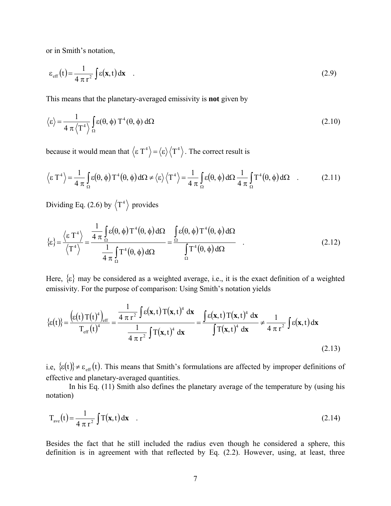or in Smith's notation,

$$
\varepsilon_{\rm eff}(t) = \frac{1}{4 \pi r^2} \int \varepsilon(\mathbf{x}, t) d\mathbf{x} \quad . \tag{2.9}
$$

This means that the planetary-averaged emissivity is **not** given by

$$
\langle \varepsilon \rangle = \frac{1}{4 \pi \langle T^4 \rangle} \int_{\Omega} \varepsilon(\theta, \phi) T^4(\theta, \phi) d\Omega
$$
 (2.10)

because it would mean that  $\langle \varepsilon T^4 \rangle = \langle \varepsilon \rangle \langle T^4 \rangle$ . The correct result is

$$
\langle \varepsilon T^4 \rangle = \frac{1}{4 \pi} \int_{\Omega} \varepsilon(\theta, \phi) T^4(\theta, \phi) d\Omega \neq \langle \varepsilon \rangle \langle T^4 \rangle = \frac{1}{4 \pi} \int_{\Omega} \varepsilon(\theta, \phi) d\Omega \frac{1}{4 \pi} \int_{\Omega} T^4(\theta, \phi) d\Omega
$$
 (2.11)

Dividing Eq. (2.6) by  $\langle T^4 \rangle$  provides

$$
\{\varepsilon\} = \frac{\left\langle \varepsilon T^4 \right\rangle}{\left\langle T^4 \right\rangle} = \frac{\frac{1}{4 \pi} \int_{\Omega} \varepsilon(\theta, \phi) T^4(\theta, \phi) d\Omega}{\frac{1}{4 \pi} \int_{\Omega} T^4(\theta, \phi) d\Omega} = \frac{\int_{\Omega} \varepsilon(\theta, \phi) T^4(\theta, \phi) d\Omega}{\int_{\Omega} T^4(\theta, \phi) d\Omega} \quad .
$$
\n(2.12)

Here,  $\{ \varepsilon \}$  may be considered as a weighted average, i.e., it is the exact definition of a weighted emissivity. For the purpose of comparison: Using Smith's notation yields

$$
\{\varepsilon(t)\} = \frac{\left(\varepsilon(t)\,T(t)^4\right)_{\text{eff}}}{T_{\text{eff}}(t)^4} = \frac{\frac{1}{4\,\pi\,r^2}\int \varepsilon(\mathbf{x},t)\,T(\mathbf{x},t)^4\,\mathrm{d}\mathbf{x}}{\frac{1}{4\,\pi\,r^2}\int T(\mathbf{x},t)^4\,\mathrm{d}\mathbf{x}} = \frac{\int \varepsilon(\mathbf{x},t)\,T(\mathbf{x},t)^4\,\mathrm{d}\mathbf{x}}{\int T(\mathbf{x},t)^4\,\mathrm{d}\mathbf{x}} \neq \frac{1}{4\,\pi\,r^2}\int \varepsilon(\mathbf{x},t)\,\mathrm{d}\mathbf{x}
$$
\n(2.13)

i.e,  $\{\varepsilon(t)\}\neq \varepsilon_{\text{eff}}(t)$ . This means that Smith's formulations are affected by improper definitions of effective and planetary-averaged quantities.

In his Eq. (11) Smith also defines the planetary average of the temperature by (using his notation)

$$
T_{ave}(t) = \frac{1}{4 \pi r^2} \int T(\mathbf{x}, t) d\mathbf{x}
$$
 (2.14)

Besides the fact that he still included the radius even though he considered a sphere, this definition is in agreement with that reflected by Eq. (2.2). However, using, at least, three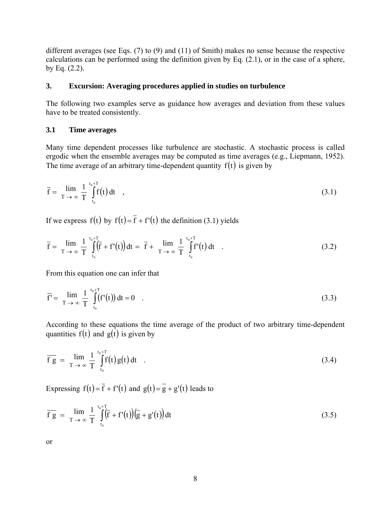different averages (see Eqs. (7) to (9) and (11) of Smith) makes no sense because the respective calculations can be performed using the definition given by Eq. (2.1), or in the case of a sphere, by Eq. (2.2).

# **3. Excursion: Averaging procedures applied in studies on turbulence**

The following two examples serve as guidance how averages and deviation from these values have to be treated consistently.

### **3.1 Time averages**

Many time dependent processes like turbulence are stochastic. A stochastic process is called ergodic when the ensemble averages may be computed as time averages (e.g., Liepmann, 1952). The time average of an arbitrary time-dependent quantity  $f(t)$  is given by

$$
\overline{f} = \lim_{T \to \infty} \frac{1}{T} \int_{t_0}^{t_0 + T} f(t) dt \quad , \tag{3.1}
$$

If we express f(t) by  $f(t) = \overline{f} + f'(t)$  the definition (3.1) yields

$$
\overline{f} = \lim_{T \to \infty} \frac{1}{T} \int_{t_0}^{t_0 + T} (\overline{f} + f'(t)) dt = \overline{f} + \lim_{T \to \infty} \frac{1}{T} \int_{t_0}^{t_0 + T} f'(t) dt
$$
 (3.2)

From this equation one can infer that

$$
\overline{f'} = \lim_{T \to \infty} \frac{1}{T} \int_{t_0}^{t_0 + T} (f'(t)) dt = 0 \quad .
$$
 (3.3)

According to these equations the time average of the product of two arbitrary time-dependent quantities  $f(t)$  and  $g(t)$  is given by

$$
\overline{f} \overline{g} = \lim_{T \to \infty} \frac{1}{T} \int_{t_0}^{t_0 + T} f(t) g(t) dt \quad . \tag{3.4}
$$

Expressing  $f(t) = \overline{f} + f'(t)$  and  $g(t) = \overline{g} + g'(t)$  leads to

$$
\overline{f} \overline{g} = \lim_{T \to \infty} \frac{1}{T} \int_{t_0}^{t_0 + T} (\overline{f} + f'(t)) (\overline{g} + g'(t)) dt
$$
\n(3.5)

or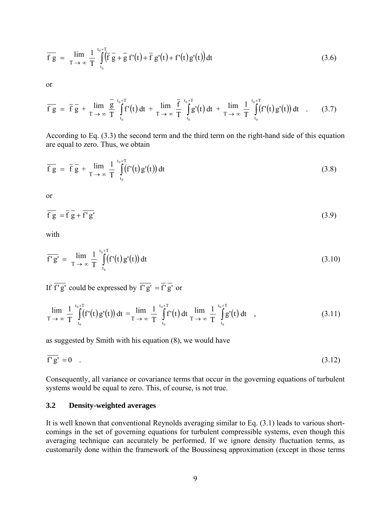$$
\overline{f} \overline{g} = \lim_{T \to \infty} \frac{1}{T} \int_{t_0}^{t_0+T} \overline{f} \overline{g} + \overline{g} f'(t) + \overline{f} g'(t) + f'(t) g'(t) dt
$$
\n(3.6)

or

$$
\overline{f\ g} \ = \ \overline{f\ g} \ + \ \lim_{T \to \infty} \frac{\overline{g}}{T} \int_{t_0}^{t_0+T} f'(t) \, dt \ + \ \lim_{T \to \infty} \frac{\overline{f}}{T} \int_{t_0}^{t_0+T} g'(t) \, dt \ + \ \lim_{T \to \infty} \frac{1}{T} \int_{t_0}^{t_0+T} (f'(t) g'(t)) \, dt \quad . \tag{3.7}
$$

According to Eq. (3.3) the second term and the third term on the right-hand side of this equation are equal to zero. Thus, we obtain

$$
\overline{f\ g} = \overline{f} \overline{g} + \lim_{T \to \infty} \frac{1}{T} \int_{t_0}^{t_0 + T} (f'(t)g'(t)) dt \tag{3.8}
$$

or

$$
\overline{fg} = \overline{f} \overline{g} + \overline{f'g'} \tag{3.9}
$$

with

$$
\overline{f'g'} = \lim_{T \to \infty} \frac{1}{T} \int_{t_0}^{t_0+T} (f'(t)g'(t)) dt
$$
\n(3.10)

If  $\overline{f'g'}$  could be expressed by  $\overline{f'g'} = \overline{f'}\overline{g'}$  or

$$
\lim_{T \to \infty} \frac{1}{T} \int_{t_0}^{t_0+T} (f'(t)g'(t)) dt = \lim_{T \to \infty} \frac{1}{T} \int_{t_0}^{t_0+T} f'(t) dt \lim_{T \to \infty} \frac{1}{T} \int_{t_0}^{t_0+T} g'(t) dt , \qquad (3.11)
$$

as suggested by Smith with his equation (8), we would have

$$
\overline{\mathbf{f}'\mathbf{g}'} = 0 \quad . \tag{3.12}
$$

Consequently, all variance or covariance terms that occur in the governing equations of turbulent systems would be equal to zero. This, of course, is not true.

# **3.2 Density-weighted averages**

It is well known that conventional Reynolds averaging similar to Eq. (3.1) leads to various shortcomings in the set of governing equations for turbulent compressible systems, even though this averaging technique can accurately be performed. If we ignore density fluctuation terms, as customarily done within the framework of the Boussinesq approximation (except in those terms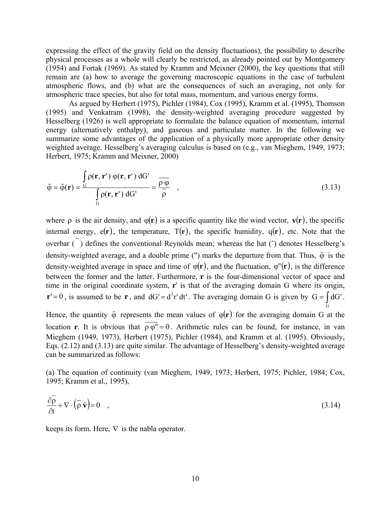expressing the effect of the gravity field on the density fluctuations), the possibility to describe physical processes as a whole will clearly be restricted, as already pointed out by Montgomery (1954) and Fortak (1969). As stated by Kramm and Meixner (2000), the key questions that still remain are (a) how to average the governing macroscopic equations in the case of turbulent atmospheric flows, and (b) what are the consequences of such an averaging, not only for atmospheric trace species, but also for total mass, momentum, and various energy forms.

As argued by Herbert (1975), Pichler (1984), Cox (1995), Kramm et al. (1995), Thomson (1995) and Venkatram (1998), the density-weighted averaging procedure suggested by Hesselberg (1926) is well appropriate to formulate the balance equation of momentum, internal energy (alternatively enthalpy), and gaseous and particulate matter. In the following we summarize some advantages of the application of a physically more appropriate other density weighted average. Hesselberg's averaging calculus is based on (e.g., van Mieghem, 1949, 1973; Herbert, 1975; Kramm and Meixner, 2000)

$$
\hat{\varphi} = \hat{\varphi}(\mathbf{r}) = \frac{\int_{G} \rho(\mathbf{r}, \mathbf{r}') \varphi(\mathbf{r}, \mathbf{r}') dG'}{\int_{G} \rho(\mathbf{r}, \mathbf{r}') dG'} = \frac{\overline{\rho \varphi}}{\overline{\rho}}, \qquad (3.13)
$$

where  $\rho$  is the air density, and  $\varphi(\mathbf{r})$  is a specific quantity like the wind vector,  $\mathbf{v}(\mathbf{r})$ , the specific internal energy,  $e(\mathbf{r})$ , the temperature,  $T(\mathbf{r})$ , the specific humidity,  $q(\mathbf{r})$ , etc. Note that the overbar  $\overline{(\cdot)}$  defines the conventional Reynolds mean; whereas the hat  $\overline{(\cdot)}$  denotes Hesselberg's density-weighted average, and a double prime (") marks the departure from that. Thus,  $\hat{\varphi}$  is the density-weighted average in space and time of  $\varphi(\mathbf{r})$ , and the fluctuation,  $\varphi''(\mathbf{r})$ , is the difference between the former and the latter. Furthermore, **r** is the four-dimensional vector of space and time in the original coordinate system, **r**' is that of the averaging domain G where its origin,  $\mathbf{r}' = 0$ , is assumed to be  $\mathbf{r}$ , and  $dG' = d^3 r' dt'$ . The averaging domain G is given by  $G = \int dG'$ .

Hence, the quantity  $\hat{\varphi}$  represents the mean values of  $\varphi(\mathbf{r})$  for the averaging domain G at the location **r**. It is obvious that  $\rho \varphi'' = 0$ . Arithmetic rules can be found, for instance, in van Mieghem (1949, 1973), Herbert (1975), Pichler (1984), and Kramm et al. (1995). Obviously, Eqs. (2.12) and (3.13) are quite similar. The advantage of Hesselberg's density-weighted average can be summarized as follows:

G

(a) The equation of continuity (van Mieghem, 1949, 1973; Herbert, 1975; Pichler, 1984; Cox, 1995; Kramm et al., 1995),

$$
\frac{\partial \overline{\rho}}{\partial t} + \nabla \cdot (\overline{\rho} \hat{\mathbf{v}}) = 0 \quad , \tag{3.14}
$$

keeps its form. Here,  $\nabla$  is the nabla operator.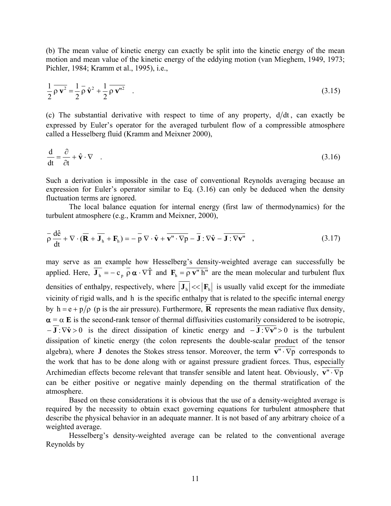(b) The mean value of kinetic energy can exactly be split into the kinetic energy of the mean motion and mean value of the kinetic energy of the eddying motion (van Mieghem, 1949, 1973; Pichler, 1984; Kramm et al., 1995), i.e.,

$$
\frac{1}{2}\overline{\rho}\,\overline{\mathbf{v}^2} = \frac{1}{2}\overline{\rho}\,\hat{\mathbf{v}}^2 + \frac{1}{2}\overline{\rho}\,\overline{\mathbf{v}^{"2}}\tag{3.15}
$$

(c) The substantial derivative with respect to time of any property,  $d/dt$ , can exactly be expressed by Euler's operator for the averaged turbulent flow of a compressible atmosphere called a Hesselberg fluid (Kramm and Meixner 2000),

$$
\frac{\mathrm{d}}{\mathrm{d}t} = \frac{\partial}{\partial t} + \hat{\mathbf{v}} \cdot \nabla \tag{3.16}
$$

Such a derivation is impossible in the case of conventional Reynolds averaging because an expression for Euler's operator similar to Eq. (3.16) can only be deduced when the density fluctuation terms are ignored.

The local balance equation for internal energy (first law of thermodynamics) for the turbulent atmosphere (e.g., Kramm and Meixner, 2000),

$$
\overline{\rho} \frac{d\hat{e}}{dt} + \nabla \cdot (\overline{\mathbf{R}} + \overline{\mathbf{J}_{h}} + \mathbf{F}_{h}) = -\overline{p} \nabla \cdot \hat{\mathbf{v}} + \overline{\mathbf{v}'' \cdot \nabla p} - \overline{\mathbf{J}} : \nabla \hat{\mathbf{v}} - \overline{\mathbf{J}} : \nabla \mathbf{v}'' ,
$$
\n(3.17)

may serve as an example how Hesselberg's density-weighted average can successfully be applied. Here,  $\overline{\mathbf{J}_h} = -c_p \overline{\rho} \alpha \cdot \nabla \hat{T}$  and  $\mathbf{F}_h = \overline{\rho \mathbf{v}^H h^H}$  are the mean molecular and turbulent flux densities of enthalpy, respectively, where  $\left|\mathbf{J}_{h}\right| \ll \left|\mathbf{F}_{h}\right|$  is usually valid except for the immediate vicinity of rigid walls, and h is the specific enthalpy that is related to the specific internal energy by  $h = e + p/\rho$  (p is the air pressure). Furthermore, **R** represents the mean radiative flux density,  $\alpha = \alpha$  **E** is the second-rank tensor of thermal diffusivities customarily considered to be isotropic,  $-\overline{\mathbf{J}}$  :  $\nabla \hat{\mathbf{v}} > 0$  is the direct dissipation of kinetic energy and  $-\overline{\mathbf{J}}$  :  $\nabla \mathbf{v}$ " > 0 is the turbulent dissipation of kinetic energy (the colon represents the double-scalar product of the tensor algebra), where **J** denotes the Stokes stress tensor. Moreover, the term  $\overline{v'' \cdot \nabla p}$  corresponds to the work that has to be done along with or against pressure gradient forces. Thus, especially Archimedian effects become relevant that transfer sensible and latent heat. Obviously,  $\overline{v'' \cdot \nabla p}$ can be either positive or negative mainly depending on the thermal stratification of the atmosphere.

Based on these considerations it is obvious that the use of a density-weighted average is required by the necessity to obtain exact governing equations for turbulent atmosphere that describe the physical behavior in an adequate manner. It is not based of any arbitrary choice of a weighted average.

Hesselberg's density-weighted average can be related to the conventional average Reynolds by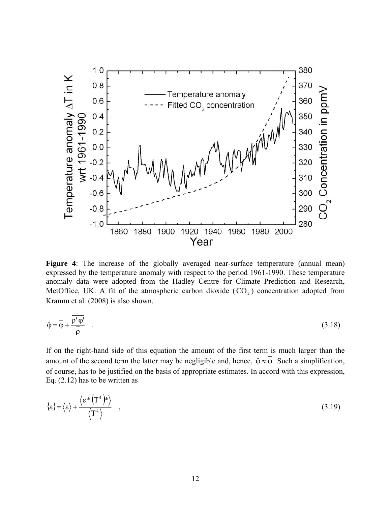

**Figure 4**: The increase of the globally averaged near-surface temperature (annual mean) expressed by the temperature anomaly with respect to the period 1961-1990. These temperature anomaly data were adopted from the Hadley Centre for Climate Prediction and Research, MetOffice, UK. A fit of the atmospheric carbon dioxide  $(CO<sub>2</sub>)$  concentration adopted from Kramm et al. (2008) is also shown.

$$
\hat{\varphi} = \overline{\varphi} + \frac{\overline{\rho' \varphi'}}{\overline{\rho}} \tag{3.18}
$$

If on the right-hand side of this equation the amount of the first term is much larger than the amount of the second term the latter may be negligible and, hence,  $\hat{\varphi} \approx \overline{\varphi}$ . Such a simplification, of course, has to be justified on the basis of appropriate estimates. In accord with this expression, Eq. (2.12) has to be written as

$$
\{\varepsilon\} = \langle \varepsilon \rangle + \frac{\langle \varepsilon^* (\mathbf{T}^4)^* \rangle}{\langle \mathbf{T}^4 \rangle} , \qquad (3.19)
$$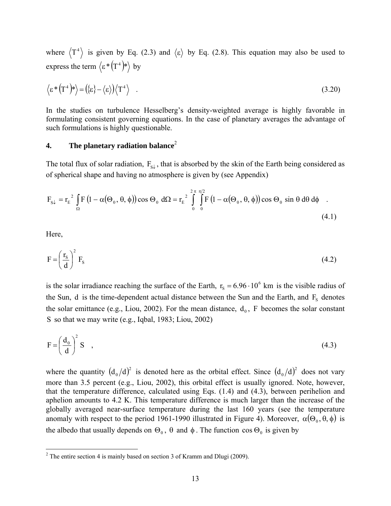where  $\langle T^4 \rangle$  is given by Eq. (2.3) and  $\langle \varepsilon \rangle$  by Eq. (2.8). This equation may also be used to express the term  $\langle \varepsilon^* (T^4)^* \rangle$  by

$$
\langle \varepsilon^* (\mathbf{T}^4)^* \rangle = (\langle \varepsilon \rangle - \langle \varepsilon \rangle) \langle \mathbf{T}^4 \rangle \quad . \tag{3.20}
$$

In the studies on turbulence Hesselberg's density-weighted average is highly favorable in formulating consistent governing equations. In the case of planetary averages the advantage of such formulations is highly questionable.

# **4. The planetary radiation balance**<sup>2</sup>

The total flux of solar radiation,  $F_{s\downarrow}$ , that is absorbed by the skin of the Earth being considered as of spherical shape and having no atmosphere is given by (see Appendix)

$$
F_{s\downarrow} = r_E^2 \int_{\Omega} F\left(1 - \alpha(\Theta_0, \theta, \phi)\right) \cos \Theta_0 \ d\Omega = r_E^2 \int_{0}^{2\pi} \int_{0}^{\pi/2} F\left(1 - \alpha(\Theta_0, \theta, \phi)\right) \cos \Theta_0 \sin \theta \ d\theta \ d\phi
$$
 (4.1)

Here,

$$
F = \left(\frac{r_s}{d}\right)^2 F_s \tag{4.2}
$$

is the solar irradiance reaching the surface of the Earth,  $r_s = 6.96 \cdot 10^6$  km is the visible radius of the Sun, d is the time-dependent actual distance between the Sun and the Earth, and  $F_s$  denotes the solar emittance (e.g., Liou, 2002). For the mean distance,  $d_0$ , F becomes the solar constant S so that we may write (e.g., Iqbal, 1983; Liou, 2002)

$$
F = \left(\frac{d_0}{d}\right)^2 S \quad , \tag{4.3}
$$

where the quantity  $(d_0/d)^2$  is denoted here as the orbital effect. Since  $(d_0/d)^2$  does not vary more than 3.5 percent (e.g., Liou, 2002), this orbital effect is usually ignored. Note, however, that the temperature difference, calculated using Eqs. (1.4) and (4.3), between perihelion and aphelion amounts to 4.2 K. This temperature difference is much larger than the increase of the globally averaged near-surface temperature during the last 160 years (see the temperature anomaly with respect to the period 1961-1990 illustrated in Figure 4). Moreover,  $\alpha(\Theta_0, \theta, \phi)$  is the albedo that usually depends on  $\Theta_0$ ,  $\theta$  and  $\phi$ . The function  $\cos \Theta_0$  is given by

<sup>&</sup>lt;sup>2</sup> The entire section 4 is mainly based on section 3 of Kramm and Dlugi (2009).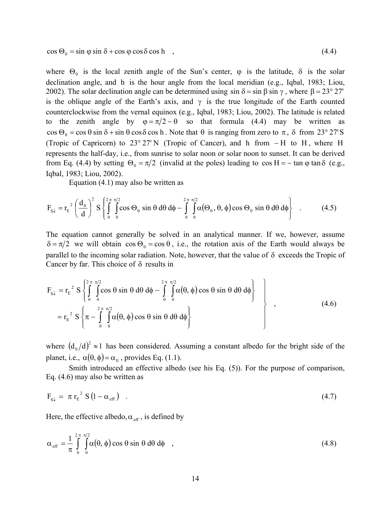$\cos \Theta_0 = \sin \phi \sin \delta + \cos \phi \cos \delta \cos h$ , (4.4)

where  $\Theta_0$  is the local zenith angle of the Sun's center,  $\varphi$  is the latitude,  $\delta$  is the solar declination angle, and h is the hour angle from the local meridian (e.g., Iqbal, 1983; Liou, 2002). The solar declination angle can be determined using  $\sin \delta = \sin \beta \sin \gamma$ , where  $\beta = 23^{\circ} 27'$ is the oblique angle of the Earth's axis, and  $\gamma$  is the true longitude of the Earth counted counterclockwise from the vernal equinox (e.g., Iqbal, 1983; Liou, 2002). The latitude is related to the zenith angle by  $\varphi = \pi/2 - \theta$  so that formula (4.4) may be written as cos  $\Theta_0 = \cos \theta \sin \delta + \sin \theta \cos \delta \cos h$ . Note that  $\theta$  is ranging from zero to  $\pi$ ,  $\delta$  from 23° 27'S (Tropic of Capricorn) to 23° 27' N (Tropic of Cancer), and h from − H to H , where H represents the half-day, i.e., from sunrise to solar noon or solar noon to sunset. It can be derived from Eq. (4.4) by setting  $\Theta_0 = \pi/2$  (invalid at the poles) leading to cos H = − tan  $\varphi$  tan  $\delta$  (e.g., Iqbal, 1983; Liou, 2002).

Equation (4.1) may also be written as

$$
F_{s\downarrow} = r_E^{-2} \left( \frac{d_0}{d} \right)^2 S \left\{ \int_0^{2\pi} \int_0^{2\pi/2} \cos \Theta_0 \sin \theta \, d\theta \, d\phi - \int_0^{2\pi} \int_0^{2\pi/2} \alpha(\Theta_0, \theta, \phi) \cos \Theta_0 \sin \theta \, d\theta \, d\phi \right\} \quad . \tag{4.5}
$$

The equation cannot generally be solved in an analytical manner. If we, however, assume  $\delta = \pi/2$  we will obtain  $\cos \Theta_0 = \cos \theta$ , i.e., the rotation axis of the Earth would always be parallel to the incoming solar radiation. Note, however, that the value of  $\delta$  exceeds the Tropic of Cancer by far. This choice of  $\delta$  results in

$$
F_{s\downarrow} = r_E^2 S \left\{ \int_0^{2\pi} \int_0^{2\pi} \cos \theta \sin \theta \, d\theta \, d\phi - \int_0^{2\pi} \int_0^{2\pi} \alpha(\theta, \phi) \cos \theta \sin \theta \, d\theta \, d\phi \right\}
$$
  
=  $r_E^2 S \left\{ \pi - \int_0^{2\pi} \int_0^{2\pi} \alpha(\theta, \phi) \cos \theta \sin \theta \, d\theta \, d\phi \right\}$  (4.6)

where  $(d_0/d)^2 \approx 1$  has been considered. Assuming a constant albedo for the bright side of the planet, i.e.,  $\alpha(\theta, \phi) = \alpha_{\text{E}}$ , provides Eq. (1.1).

Smith introduced an effective albedo (see his Eq. (5)). For the purpose of comparison, Eq. (4.6) may also be written as

$$
F_{S\downarrow} = \pi r_E^2 S (1 - \alpha_{eff}) \quad . \tag{4.7}
$$

Here, the effective albedo,  $\alpha_{\text{eff}}$ , is defined by

$$
\alpha_{\rm eff} = \frac{1}{\pi} \int_{0}^{2\pi} \int_{0}^{\pi/2} \alpha(\theta, \phi) \cos \theta \sin \theta \, d\theta \, d\phi \quad , \tag{4.8}
$$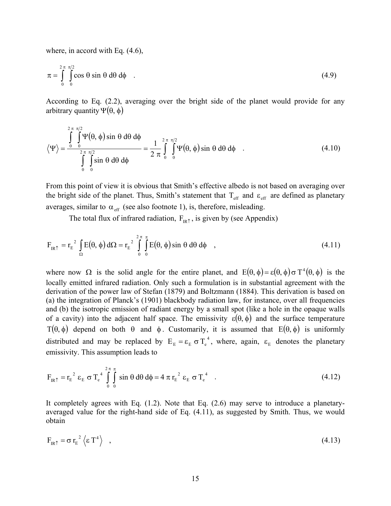where, in accord with Eq.  $(4.6)$ ,

$$
\pi = \int_{0}^{2\pi} \int_{0}^{\pi/2} \cos \theta \sin \theta \, d\theta \, d\phi \quad . \tag{4.9}
$$

According to Eq. (2.2), averaging over the bright side of the planet would provide for any arbitrary quantity  $Ψ(θ, φ)$ 

$$
\langle \Psi \rangle = \frac{\int_{0}^{2\pi} \int_{0}^{\pi/2} \Psi(\theta, \phi) \sin \theta \, d\theta \, d\phi}{\int_{0}^{2\pi} \int_{0}^{\pi/2} \sin \theta \, d\theta \, d\phi} = \frac{1}{2\pi} \int_{0}^{2\pi} \int_{0}^{\pi/2} \Psi(\theta, \phi) \sin \theta \, d\theta \, d\phi
$$
 (4.10)

From this point of view it is obvious that Smith's effective albedo is not based on averaging over the bright side of the planet. Thus, Smith's statement that  $T_{\text{eff}}$  and  $\varepsilon_{\text{eff}}$  are defined as planetary averages, similar to  $\alpha_{\text{eff}}$  (see also footnote 1), is, therefore, misleading.

The total flux of infrared radiation,  $F_{IR\uparrow}$ , is given by (see Appendix)

$$
F_{IR\uparrow} = r_E^2 \int_{\Omega} E(\theta, \phi) d\Omega = r_E^2 \int_{0}^{2\pi} \int_{0}^{\pi} E(\theta, \phi) \sin \theta d\theta d\phi , \qquad (4.11)
$$

where now  $\Omega$  is the solid angle for the entire planet, and  $E(\theta, \phi) = \varepsilon(\theta, \phi) \sigma T^4(\theta, \phi)$  is the locally emitted infrared radiation. Only such a formulation is in substantial agreement with the derivation of the power law of Stefan (1879) and Boltzmann (1884). This derivation is based on (a) the integration of Planck's (1901) blackbody radiation law, for instance, over all frequencies and (b) the isotropic emission of radiant energy by a small spot (like a hole in the opaque walls of a cavity) into the adjacent half space. The emissivity  $\varepsilon(\theta, \phi)$  and the surface temperature T( $\theta$ ,  $\phi$ ) depend on both  $\theta$  and  $\phi$ . Customarily, it is assumed that E( $\theta$ ,  $\phi$ ) is uniformly distributed and may be replaced by  $E_E = \varepsilon_E \sigma T_e^4$ , where, again,  $\varepsilon_E$  denotes the planetary emissivity. This assumption leads to

$$
F_{IR\uparrow} = r_E^2 \varepsilon_E \sigma T_e^4 \int_0^{2\pi} \int_0^{\pi} \sin \theta \, d\theta \, d\phi = 4 \pi r_E^2 \varepsilon_E \sigma T_e^4 \quad . \tag{4.12}
$$

It completely agrees with Eq. (1.2). Note that Eq. (2.6) may serve to introduce a planetaryaveraged value for the right-hand side of Eq. (4.11), as suggested by Smith. Thus, we would obtain

$$
F_{IR\uparrow} = \sigma r_E^2 \left\langle \varepsilon T^4 \right\rangle \quad , \tag{4.13}
$$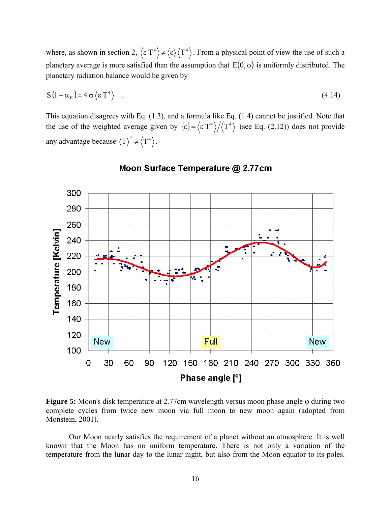where, as shown in section 2,  $\langle \varepsilon T^4 \rangle \neq \langle \varepsilon \rangle \langle T^4 \rangle$ . From a physical point of view the use of such a planetary average is more satisfied than the assumption that  $E(\theta, \phi)$  is uniformly distributed. The planetary radiation balance would be given by

$$
S(1 - \alpha_E) = 4 \sigma \langle \epsilon T^4 \rangle \quad . \tag{4.14}
$$

This equation disagrees with Eq. (1.3), and a formula like Eq. (1.4) cannot be justified. Note that the use of the weighted average given by  $\{\epsilon\} = \langle \epsilon T^4 \rangle / \langle T^4 \rangle$  (see Eq. (2.12)) does not provide any advantage because  $\langle T \rangle^4 \neq \langle T^4 \rangle$ .



# Moon Surface Temperature @ 2.77cm

**Figure 5:** Moon's disk temperature at 2.77cm wavelength versus moon phase angle φ during two complete cycles from twice new moon via full moon to new moon again (adopted from Monstein, 2001).

Our Moon nearly satisfies the requirement of a planet without an atmosphere. It is well known that the Moon has no uniform temperature. There is not only a variation of the temperature from the lunar day to the lunar night, but also from the Moon equator to its poles.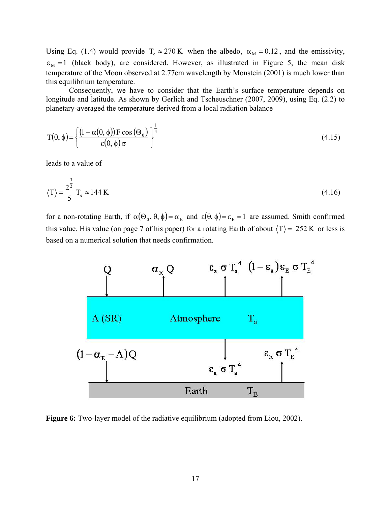Using Eq. (1.4) would provide  $T_e \approx 270 \text{ K}$  when the albedo,  $\alpha_M = 0.12$ , and the emissivity,  $\varepsilon_M = 1$  (black body), are considered. However, as illustrated in Figure 5, the mean disk temperature of the Moon observed at 2.77cm wavelength by Monstein (2001) is much lower than this equilibrium temperature.

Consequently, we have to consider that the Earth's surface temperature depends on longitude and latitude. As shown by Gerlich and Tscheuschner (2007, 2009), using Eq. (2.2) to planetary-averaged the temperature derived from a local radiation balance

$$
T(\theta, \phi) = \left\{ \frac{\left(1 - \alpha(\theta, \phi)\right) F \cos(\Theta_0)}{\epsilon(\theta, \phi)\sigma} \right\}^{\frac{1}{4}}
$$
(4.15)

leads to a value of

$$
\langle T \rangle = \frac{2^{\frac{3}{2}}}{5} T_e \approx 144 \text{ K}
$$
 (4.16)

for a non-rotating Earth, if  $\alpha(\Theta_0, \theta, \phi) = \alpha_E$  and  $\varepsilon(\theta, \phi) = \varepsilon_E = 1$  are assumed. Smith confirmed this value. His value (on page 7 of his paper) for a rotating Earth of about  $\langle T \rangle = 252$  K or less is based on a numerical solution that needs confirmation.



**Figure 6:** Two-layer model of the radiative equilibrium (adopted from Liou, 2002).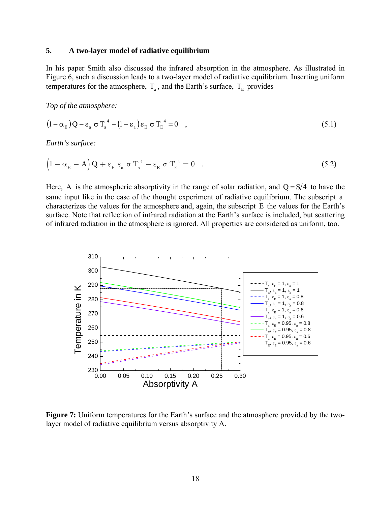## **5. A two-layer model of radiative equilibrium**

In his paper Smith also discussed the infrared absorption in the atmosphere. As illustrated in Figure 6, such a discussion leads to a two-layer model of radiative equilibrium. Inserting uniform temperatures for the atmosphere,  $T_a$ , and the Earth's surface,  $T_E$  provides

*Top of the atmosphere:* 

$$
(1 - \alpha_{\rm E})Q - \varepsilon_{\rm a} \sigma T_{\rm a}^4 - (1 - \varepsilon_{\rm a})\varepsilon_{\rm E} \sigma T_{\rm E}^4 = 0 \quad , \tag{5.1}
$$

*Earth's surface:* 

$$
\left(1 - \alpha_{\rm E} - A\right)Q + \epsilon_{\rm E} \epsilon_{\rm a} \sigma T_{\rm a}^4 - \epsilon_{\rm E} \sigma T_{\rm E}^4 = 0 \quad . \tag{5.2}
$$

Here, A is the atmospheric absorptivity in the range of solar radiation, and  $Q = S/4$  to have the same input like in the case of the thought experiment of radiative equilibrium. The subscript a characterizes the values for the atmosphere and, again, the subscript E the values for the Earth's surface. Note that reflection of infrared radiation at the Earth's surface is included, but scattering of infrared radiation in the atmosphere is ignored. All properties are considered as uniform, too.



**Figure 7:** Uniform temperatures for the Earth's surface and the atmosphere provided by the twolayer model of radiative equilibrium versus absorptivity A.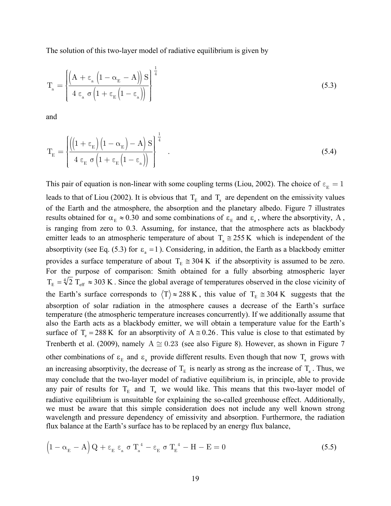The solution of this two-layer model of radiative equilibrium is given by

$$
T_{a} = \left\{ \frac{\left(A + \epsilon_{a} \left(1 - \alpha_{E} - A\right)\right) S}{4 \epsilon_{a} \sigma \left(1 + \epsilon_{E} \left(1 - \epsilon_{a}\right)\right)} \right\}^{\frac{1}{4}}
$$
\n(5.3)

and

$$
T_{E} = \left\{ \frac{\left( \left( 1 + \epsilon_{E} \right) \left( 1 - \alpha_{E} \right) - A \right) S}{4 \epsilon_{E} \sigma \left( 1 + \epsilon_{E} \left( 1 - \epsilon_{a} \right) \right)} \right\}^{\frac{1}{4}} \quad . \tag{5.4}
$$

This pair of equation is non-linear with some coupling terms (Liou, 2002). The choice of  $\varepsilon_{\rm E} = 1$ leads to that of Liou (2002). It is obvious that  $T<sub>E</sub>$  and  $T<sub>a</sub>$  are dependent on the emissivity values of the Earth and the atmosphere, the absorption and the planetary albedo. Figure 7 illustrates results obtained for  $\alpha_E \approx 0.30$  and some combinations of  $\varepsilon_E$  and  $\varepsilon_a$ , where the absorptivity, A, is ranging from zero to 0.3. Assuming, for instance, that the atmosphere acts as blackbody emitter leads to an atmospheric temperature of about  $T_a \approx 255 \text{ K}$  which is independent of the absorptivity (see Eq. (5.3) for  $\varepsilon$ <sub>a</sub> = 1). Considering, in addition, the Earth as a blackbody emitter provides a surface temperature of about  $T_E \approx 304 \text{ K}$  if the absorptivity is assumed to be zero. For the purpose of comparison: Smith obtained for a fully absorbing atmospheric layer  $T_E = \sqrt[4]{2} T_{\text{eff}} \approx 303 \text{ K}$ . Since the global average of temperatures observed in the close vicinity of the Earth's surface corresponds to  $\langle T \rangle \approx 288 \text{ K}$ , this value of  $T_E \approx 304 \text{ K}$  suggests that the absorption of solar radiation in the atmosphere causes a decrease of the Earth's surface temperature (the atmospheric temperature increases concurrently). If we additionally assume that also the Earth acts as a blackbody emitter, we will obtain a temperature value for the Earth's surface of T<sub>e</sub> = 288 K for an absorptivity of A  $\approx$  0.26. This value is close to that estimated by Trenberth et al. (2009), namely  $A \cong 0.23$  (see also Figure 8). However, as shown in Figure 7 other combinations of  $\varepsilon_{E}$  and  $\varepsilon_{a}$  provide different results. Even though that now  $T_{a}$  grows with an increasing absorptivity, the decrease of  $T<sub>E</sub>$  is nearly as strong as the increase of  $T<sub>a</sub>$ . Thus, we may conclude that the two-layer model of radiative equilibrium is, in principle, able to provide any pair of results for  $T_E$  and  $T_a$  we would like. This means that this two-layer model of radiative equilibrium is unsuitable for explaining the so-called greenhouse effect. Additionally, we must be aware that this simple consideration does not include any well known strong wavelength and pressure dependency of emissivity and absorption. Furthermore, the radiation flux balance at the Earth's surface has to be replaced by an energy flux balance,

$$
\left(1 - \alpha_{\rm E} - A\right)Q + \varepsilon_{\rm E} \varepsilon_{\rm a} \sigma T_{\rm a}^{4} - \varepsilon_{\rm E} \sigma T_{\rm E}^{4} - H - E = 0\tag{5.5}
$$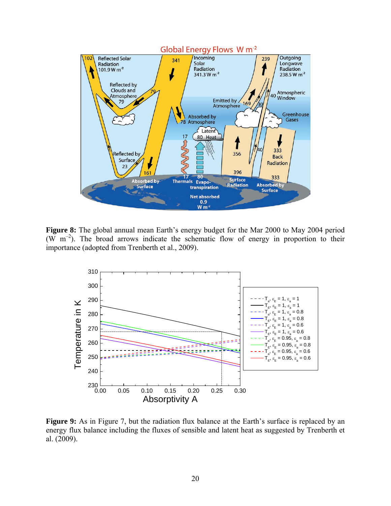

**Figure 8:** The global annual mean Earth's energy budget for the Mar 2000 to May 2004 period (W  $m^{-2}$ ). The broad arrows indicate the schematic flow of energy in proportion to their importance (adopted from Trenberth et al., 2009).



**Figure 9:** As in Figure 7, but the radiation flux balance at the Earth's surface is replaced by an energy flux balance including the fluxes of sensible and latent heat as suggested by Trenberth et al. (2009).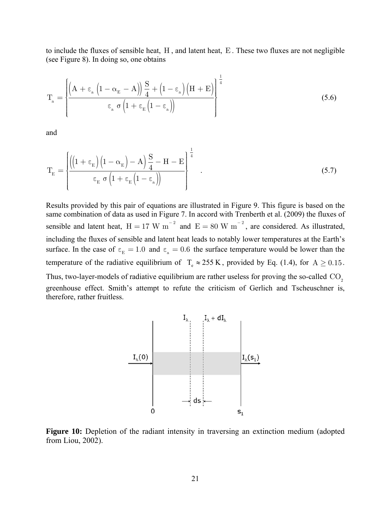to include the fluxes of sensible heat, H , and latent heat, E . These two fluxes are not negligible (see Figure 8). In doing so, one obtains

$$
T_a = \left\{ \frac{\left(A + \epsilon_a \left(1 - \alpha_E - A\right)\right) \frac{S}{4} + \left(1 - \epsilon_a\right) \left(H + E\right)}{\epsilon_a \sigma \left(1 + \epsilon_E \left(1 - \epsilon_a\right)\right)} \right\}^{\frac{1}{4}}
$$
\n(5.6)

and

$$
T_{E} = \left\{ \frac{\left( \left(1 + \epsilon_{E}\right) \left(1 - \alpha_{E}\right) - A\right) \frac{S}{4} - H - E}{\epsilon_{E} \sigma \left(1 + \epsilon_{E} \left(1 - \epsilon_{a}\right)\right)} \right\}^{\frac{1}{4}} \quad . \tag{5.7}
$$

Results provided by this pair of equations are illustrated in Figure 9. This figure is based on the same combination of data as used in Figure 7. In accord with Trenberth et al. (2009) the fluxes of sensible and latent heat,  $H = 17$  W m<sup>-2</sup> and  $E = 80$  W m<sup>-2</sup>, are considered. As illustrated, including the fluxes of sensible and latent heat leads to notably lower temperatures at the Earth's surface. In the case of  $\varepsilon_{\rm E} = 1.0$  and  $\varepsilon_{\rm a} = 0.6$  the surface temperature would be lower than the temperature of the radiative equilibrium of  $T_e \approx 255 \text{ K}$ , provided by Eq. (1.4), for A  $\geq 0.15$ . Thus, two-layer-models of radiative equilibrium are rather useless for proving the so-called  $CO<sub>2</sub>$ greenhouse effect. Smith's attempt to refute the criticism of Gerlich and Tscheuschner is, therefore, rather fruitless.



**Figure 10:** Depletion of the radiant intensity in traversing an extinction medium (adopted from Liou, 2002).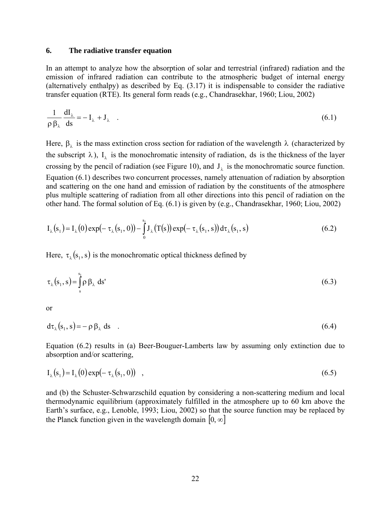### **6. The radiative transfer equation**

In an attempt to analyze how the absorption of solar and terrestrial (infrared) radiation and the emission of infrared radiation can contribute to the atmospheric budget of internal energy (alternatively enthalpy) as described by Eq. (3.17) it is indispensable to consider the radiative transfer equation (RTE). Its general form reads (e.g., Chandrasekhar, 1960; Liou, 2002)

$$
\frac{1}{\rho \beta_{\lambda}} \frac{dI_{\lambda}}{ds} = -I_{\lambda} + J_{\lambda} \quad . \tag{6.1}
$$

Here,  $\beta_{\lambda}$  is the mass extinction cross section for radiation of the wavelength  $\lambda$  (characterized by the subscript  $\lambda$ ),  $I_{\lambda}$  is the monochromatic intensity of radiation, ds is the thickness of the layer crossing by the pencil of radiation (see Figure 10), and  $J_{\lambda}$  is the monochromatic source function. Equation (6.1) describes two concurrent processes, namely attenuation of radiation by absorption and scattering on the one hand and emission of radiation by the constituents of the atmosphere plus multiple scattering of radiation from all other directions into this pencil of radiation on the other hand. The formal solution of Eq. (6.1) is given by (e.g., Chandrasekhar, 1960; Liou, 2002)

$$
I_{\lambda}(s_1) = I_{\lambda}(0) \exp(-\tau_{\lambda}(s_1, 0)) - \int_{0}^{s_1} J_{\lambda}(T(s)) \exp(-\tau_{\lambda}(s_1, s)) d\tau_{\lambda}(s_1, s)
$$
(6.2)

Here,  $\tau_{\lambda}(s_1, s)$  is the monochromatic optical thickness defined by

$$
\tau_{\lambda}(s_1, s) = \int_{s}^{s_1} \rho \beta_{\lambda} ds'
$$
 (6.3)

or

$$
d\tau_{\lambda}(s_1, s) = -\rho \beta_{\lambda} ds \quad . \tag{6.4}
$$

Equation (6.2) results in (a) Beer-Bouguer-Lamberts law by assuming only extinction due to absorption and/or scattering,

$$
I_{\lambda}(s_1) = I_{\lambda}(0) \exp(-\tau_{\lambda}(s_1, 0)) \quad , \tag{6.5}
$$

and (b) the Schuster-Schwarzschild equation by considering a non-scattering medium and local thermodynamic equilibrium (approximately fulfilled in the atmosphere up to 60 km above the Earth's surface, e.g., Lenoble, 1993; Liou, 2002) so that the source function may be replaced by the Planck function given in the wavelength domain  $[0, \infty]$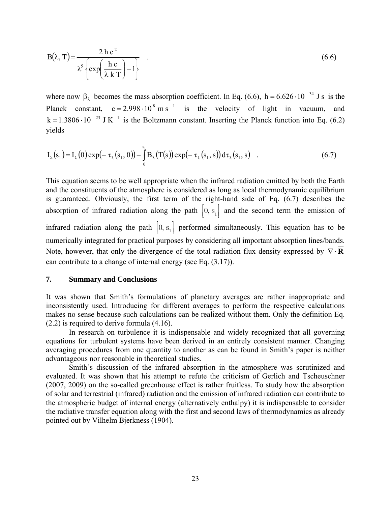$$
B(\lambda, T) = \frac{2 h c^2}{\lambda^5 \left\{ exp\left(\frac{h c}{\lambda k T}\right) - 1\right\}}
$$
(6.6)

where now  $\beta_{\lambda}$  becomes the mass absorption coefficient. In Eq. (6.6), h = 6.626 · 10<sup>-34</sup> J s is the Planck constant,  $c = 2.998 \cdot 10^8 \text{ m s}^{-1}$  is the velocity of light in vacuum, and  $k = 1.3806 \cdot 10^{-23}$  J K<sup>-1</sup> is the Boltzmann constant. Inserting the Planck function into Eq. (6.2) yields

$$
I_{\lambda}(s_1) = I_{\lambda}(0) \exp(-\tau_{\lambda}(s_1, 0)) - \int_{0}^{s_1} B_{\lambda}(T(s)) \exp(-\tau_{\lambda}(s_1, s)) d\tau_{\lambda}(s_1, s)
$$
 (6.7)

This equation seems to be well appropriate when the infrared radiation emitted by both the Earth and the constituents of the atmosphere is considered as long as local thermodynamic equilibrium is guaranteed. Obviously, the first term of the right-hand side of Eq. (6.7) describes the absorption of infrared radiation along the path  $[0, s_1]$  and the second term the emission of infrared radiation along the path  $[0, s_1]$  performed simultaneously. This equation has to be numerically integrated for practical purposes by considering all important absorption lines/bands. Note, however, that only the divergence of the total radiation flux density expressed by ∇ ⋅ **R** can contribute to a change of internal energy (see Eq. (3.17)).

### **7. Summary and Conclusions**

It was shown that Smith's formulations of planetary averages are rather inappropriate and inconsistently used. Introducing for different averages to perform the respective calculations makes no sense because such calculations can be realized without them. Only the definition Eq. (2.2) is required to derive formula (4.16).

In research on turbulence it is indispensable and widely recognized that all governing equations for turbulent systems have been derived in an entirely consistent manner. Changing averaging procedures from one quantity to another as can be found in Smith's paper is neither advantageous nor reasonable in theoretical studies.

Smith's discussion of the infrared absorption in the atmosphere was scrutinized and evaluated. It was shown that his attempt to refute the criticism of Gerlich and Tscheuschner (2007, 2009) on the so-called greenhouse effect is rather fruitless. To study how the absorption of solar and terrestrial (infrared) radiation and the emission of infrared radiation can contribute to the atmospheric budget of internal energy (alternatively enthalpy) it is indispensable to consider the radiative transfer equation along with the first and second laws of thermodynamics as already pointed out by Vilhelm Bjerkness (1904).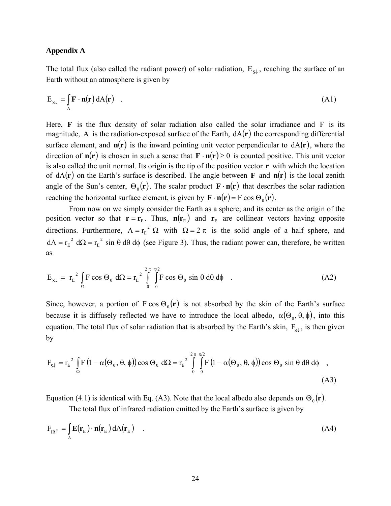## **Appendix A**

The total flux (also called the radiant power) of solar radiation,  $E_{s\downarrow}$ , reaching the surface of an Earth without an atmosphere is given by

$$
E_{S\downarrow} = \int_{A} \mathbf{F} \cdot \mathbf{n}(\mathbf{r}) dA(\mathbf{r}) \quad . \tag{A1}
$$

Here, **F** is the flux density of solar radiation also called the solar irradiance and F is its magnitude, A is the radiation-exposed surface of the Earth,  $dA(\mathbf{r})$  the corresponding differential surface element, and  $n(r)$  is the inward pointing unit vector perpendicular to  $dA(r)$ , where the direction of  $n(r)$  is chosen in such a sense that  $\mathbf{F} \cdot n(r) \ge 0$  is counted positive. This unit vector is also called the unit normal. Its origin is the tip of the position vector **r** with which the location of  $dA(r)$  on the Earth's surface is described. The angle between **F** and  $n(r)$  is the local zenith angle of the Sun's center,  $\Theta_0(\mathbf{r})$ . The scalar product  $\mathbf{F} \cdot \mathbf{n}(\mathbf{r})$  that describes the solar radiation reaching the horizontal surface element, is given by  $\mathbf{F} \cdot \mathbf{n}(\mathbf{r}) = F \cos \Theta_0(\mathbf{r})$ .

From now on we simply consider the Earth as a sphere; and its center as the origin of the position vector so that  $\mathbf{r} = \mathbf{r}_{E}$ . Thus,  $\mathbf{n}(\mathbf{r}_{E})$  and  $\mathbf{r}_{E}$  are collinear vectors having opposite directions. Furthermore,  $A = r_E^2 \Omega$  with  $\Omega = 2 \pi$  is the solid angle of a half sphere, and  $dA = r_E^2 d\Omega = r_E^2 \sin \theta d\theta d\phi$  $T_{\rm E}^{2}$  d $\Omega = r_{\rm E}^{2}$  sin  $\theta$  d $\theta$  d $\phi$  (see Figure 3). Thus, the radiant power can, therefore, be written as

$$
E_{s\downarrow} = r_E^2 \int_{\Omega} F \cos \Theta_0 \ d\Omega = r_E^2 \int_{0}^{2\pi} \int_{0}^{\pi/2} F \cos \Theta_0 \sin \theta \ d\theta \ d\phi \quad . \tag{A2}
$$

Since, however, a portion of  $F \cos \Theta_0(\mathbf{r})$  is not absorbed by the skin of the Earth's surface because it is diffusely reflected we have to introduce the local albedo,  $\alpha(\Theta_0, \theta, \phi)$ , into this equation. The total flux of solar radiation that is absorbed by the Earth's skin,  $F_{gl}$ , is then given by

$$
F_{S\downarrow} = r_E^2 \int_{\Omega} F \left( 1 - \alpha(\Theta_0, \theta, \phi) \right) \cos \Theta_0 \ d\Omega = r_E^2 \int_{0}^{2\pi} \int_{0}^{\pi/2} F \left( 1 - \alpha(\Theta_0, \theta, \phi) \right) \cos \Theta_0 \sin \theta \ d\theta \ d\phi \quad , \tag{A3}
$$

Equation (4.1) is identical with Eq. (A3). Note that the local albedo also depends on  $\Theta_0(\mathbf{r})$ .

The total flux of infrared radiation emitted by the Earth's surface is given by

$$
F_{IR\uparrow} = \int_{A} \mathbf{E}(\mathbf{r}_{E}) \cdot \mathbf{n}(\mathbf{r}_{E}) dA(\mathbf{r}_{E})
$$
 (A4)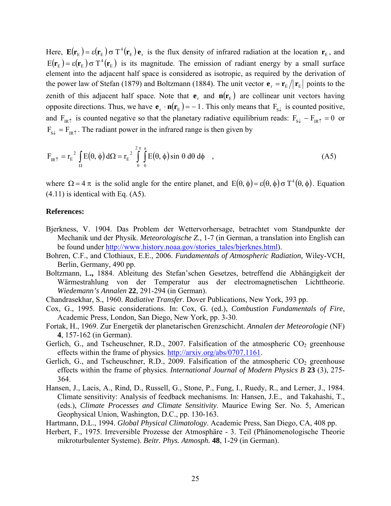Here,  $\mathbf{E}(\mathbf{r}_{E}) = \varepsilon(\mathbf{r}_{E}) \sigma T^4(\mathbf{r}_{E}) \mathbf{e}_{F}$  is the flux density of infrared radiation at the location  $\mathbf{r}_{E}$ , and  $E(\mathbf{r}_{E}) = \varepsilon(\mathbf{r}_{E}) \sigma T^{4}(\mathbf{r}_{E})$  is its magnitude. The emission of radiant energy by a small surface element into the adjacent half space is considered as isotropic, as required by the derivation of the power law of Stefan (1879) and Boltzmann (1884). The unit vector  $\mathbf{e}_r = \mathbf{r}_E / |\mathbf{r}_E|$  points to the zenith of this adjacent half space. Note that  $\mathbf{e}_r$  and  $\mathbf{n}(\mathbf{r}_E)$  are collinear unit vectors having opposite directions. Thus, we have  $\mathbf{e}_r \cdot \mathbf{n}(\mathbf{r}_E) = -1$ . This only means that  $F_{s\downarrow}$  is counted positive, and  $F_{IR\uparrow}$  is counted negative so that the planetary radiative equilibrium reads:  $F_{S\downarrow} - F_{IR\uparrow} = 0$  or  $F_{s\downarrow} = F_{IR\uparrow}$ . The radiant power in the infrared range is then given by

$$
F_{IR\uparrow} = r_E^2 \int_{\Omega} E(\theta, \phi) d\Omega = r_E^2 \int_{0}^{2\pi} \int_{0}^{\pi} E(\theta, \phi) \sin \theta d\theta d\phi , \qquad (A5)
$$

where  $\Omega = 4 \pi$  is the solid angle for the entire planet, and  $E(\theta, \phi) = \varepsilon(\theta, \phi) \sigma T^4(\theta, \phi)$ . Equation  $(4.11)$  is identical with Eq.  $(A5)$ .

### **References:**

- Bjerkness, V. 1904. Das Problem der Wettervorhersage, betrachtet vom Standpunkte der Mechanik und der Physik. *Meteorologische Z.*, 1-7 (in German, a translation into English can be found under http://www.history.noaa.gov/stories\_tales/bjerknes.html).
- Bohren, C.F., and Clothiaux, E.E., 2006. *Fundamentals of Atmospheric Radiation,* Wiley-VCH, Berlin, Germany, 490 pp.
- Boltzmann, L**.,** 1884. Ableitung des Stefan'schen Gesetzes, betreffend die Abhängigkeit der Wärmestrahlung von der Temperatur aus der electromagnetischen Lichttheorie. *Wiedemann's Annalen* **22**, 291-294 (in German).
- Chandrasekhar, S., 1960. *Radiative Transfer*. Dover Publications, New York, 393 pp.
- Cox, G., 1995. Basic considerations. In: Cox, G. (ed.), *Combustion Fundamentals of Fire*, Academic Press, London, San Diego, New York, pp. 3-30.
- Fortak, H., 1969. Zur Energetik der planetarischen Grenzschicht. *Annalen der Meteorologie* (NF) **4**, 157-162 (in German).
- Gerlich, G., and Tscheuschner, R.D., 2007. Falsification of the atmospheric  $CO<sub>2</sub>$  greenhouse effects within the frame of physics. http://arxiv.org/abs/0707.1161.
- Gerlich, G., and Tscheuschner, R.D., 2009. Falsification of the atmospheric  $CO<sub>2</sub>$  greenhouse effects within the frame of physics. *International Journal of Modern Physics B* **23** (3), 275- 364.
- Hansen, J., Lacis, A., Rind, D., Russell, G., Stone, P., Fung, I., Ruedy, R., and Lerner, J., 1984. Climate sensitivity: Analysis of feedback mechanisms. In: Hansen, J.E., and Takahashi, T., (eds.), *Climate Processes and Climate Sensitivity*. Maurice Ewing Ser. No. 5, American Geophysical Union, Washington, D.C., pp. 130-163.
- Hartmann, D.L., 1994. *Global Physical Climatology*. Academic Press, San Diego, CA, 408 pp.
- Herbert, F., 1975. Irreversible Prozesse der Atmosphäre 3. Teil (Phänomenologische Theorie mikroturbulenter Systeme). *Beitr. Phys. Atmosph.* **48**, 1-29 (in German).